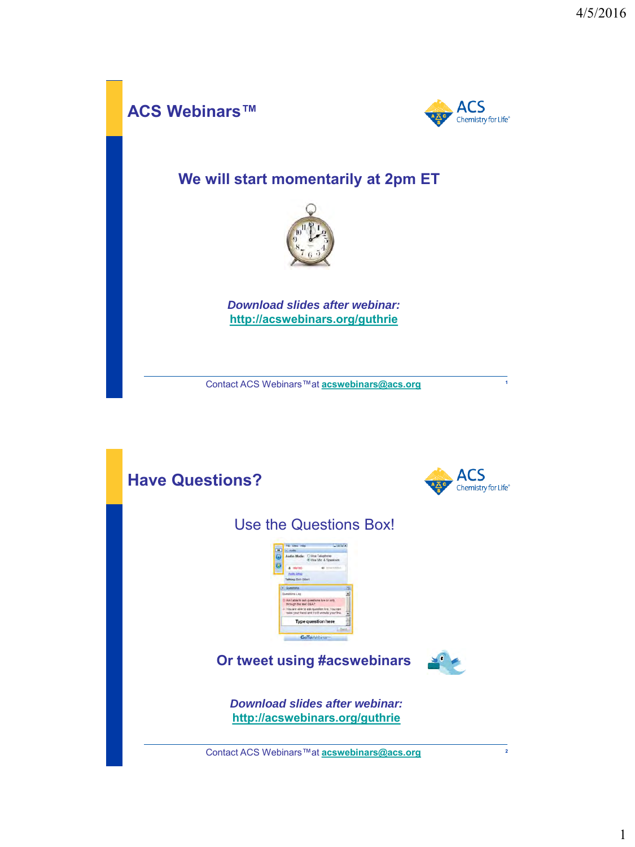

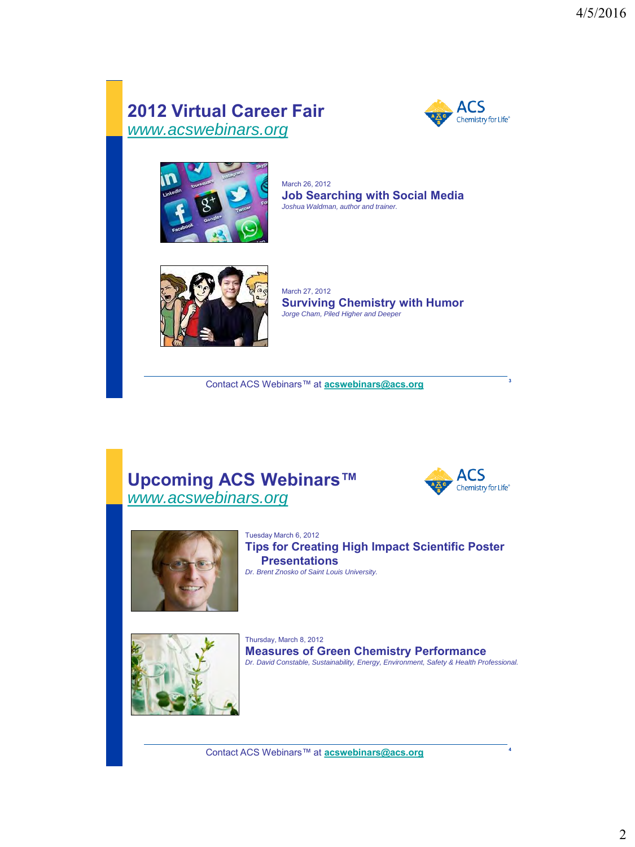## **2012 Virtual Career Fair** *[www.acswebinars.org](http://www.acswebinars.org/)*





March 26, 2012 **Job Searching with Social Media** *Joshua Waldman, author and trainer.*



March 27, 2012 **Surviving Chemistry with Humor** *Jorge Cham, Piled Higher and Deeper*

**<sup>3</sup>** Contact ACS Webinars™ at **[acswebinars@acs.org](mailto:acswebinars@acs.org)**

#### **Upcoming ACS Webinars™** *[www.acswebinars.org](http://www.acswebinars.org/)*





Tuesday March 6, 2012 **Tips for Creating High Impact Scientific Poster Presentations** *Dr. Brent Znosko of Saint Louis University.*



Thursday, March 8, 2012 **Measures of Green Chemistry Performance** *Dr. David Constable, Sustainability, Energy, Environment, Safety & Health Professional.*

**<sup>4</sup>** Contact ACS Webinars™ at **[acswebinars@acs.org](mailto:acswebinars@acs.org)**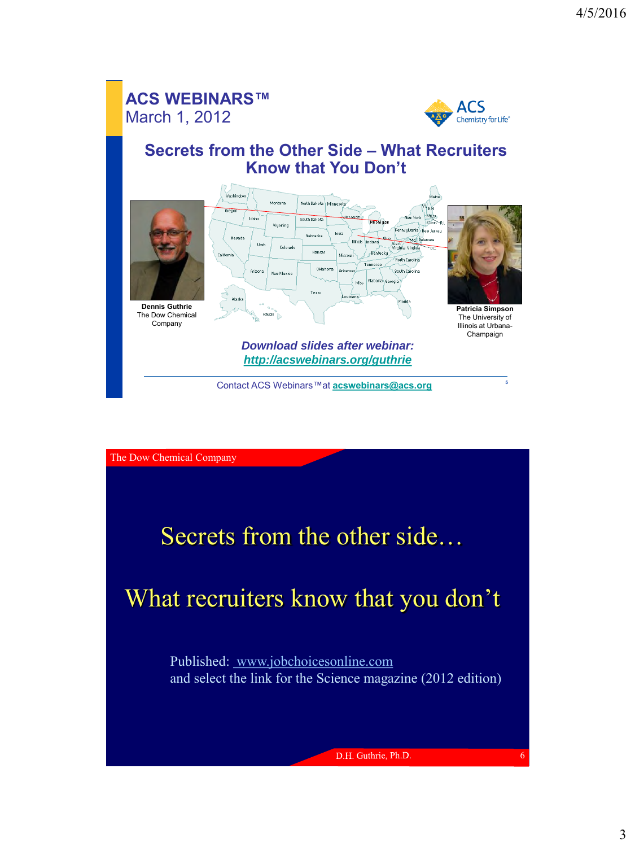#### **ACS WEBINARS™** March 1, 2012



#### **Secrets from the Other Side – What Recruiters Know that You Don't**



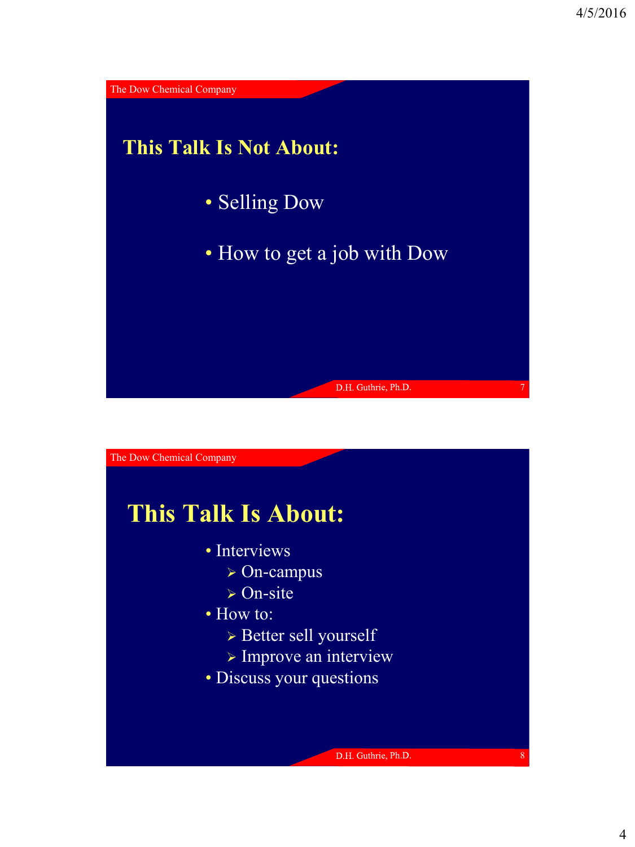

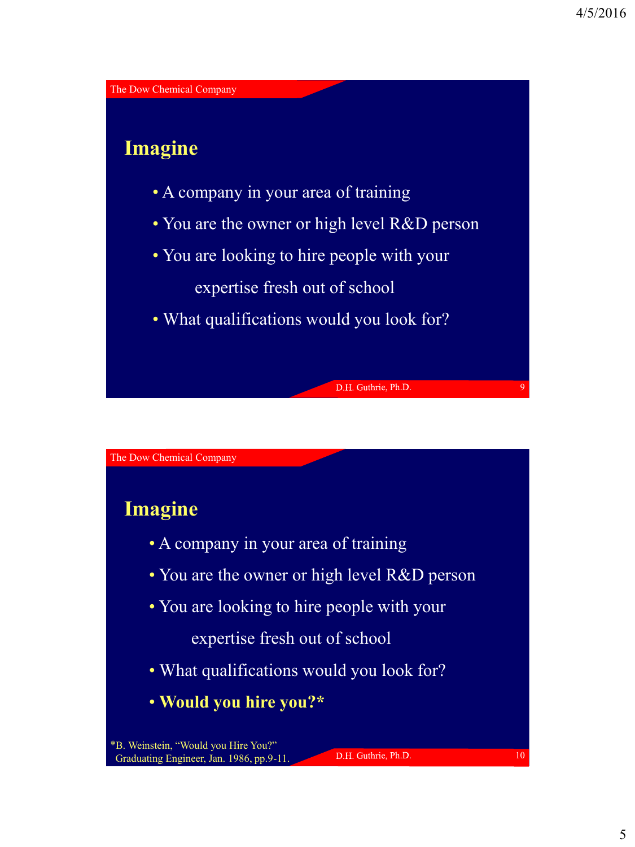

## **Imagine**

- A company in your area of training
- You are the owner or high level R&D person
- You are looking to hire people with your expertise fresh out of school
- What qualifications would you look for?

The Dow Chemical Company

## **Imagine**

- A company in your area of training
- You are the owner or high level R&D person
- You are looking to hire people with your

expertise fresh out of school

- What qualifications would you look for?
- **Would you hire you?\***

D.H. Guthrie, Ph.D.

10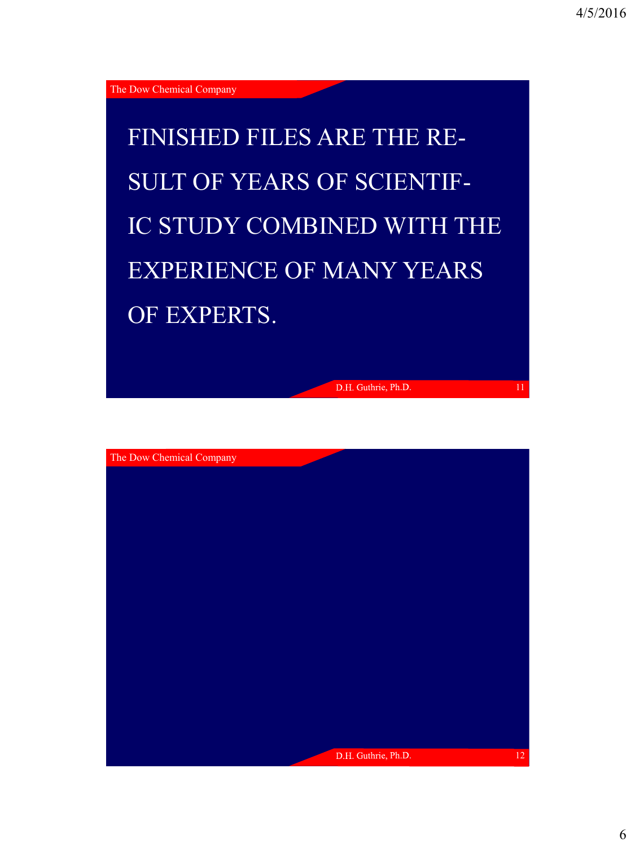FINISHED FILES ARE THE RE-SULT OF YEARS OF SCIENTIF-IC STUDY COMBINED WITH THE EXPERIENCE OF MANY YEARS OF EXPERTS.

D.H. Guthrie, Ph.D.

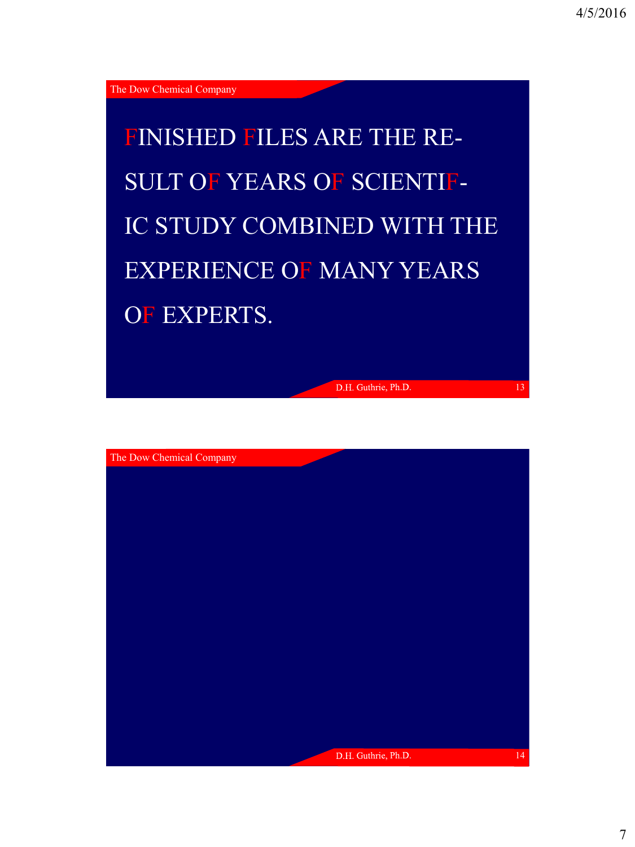FINISHED FILES ARE THE RE-SULT OF YEARS OF SCIENTIF-IC STUDY COMBINED WITH THE EXPERIENCE OF MANY YEARS OF EXPERTS.

D.H. Guthrie, Ph.D.

13

The Dow Chemical Company D.H. Guthrie, Ph.D. 14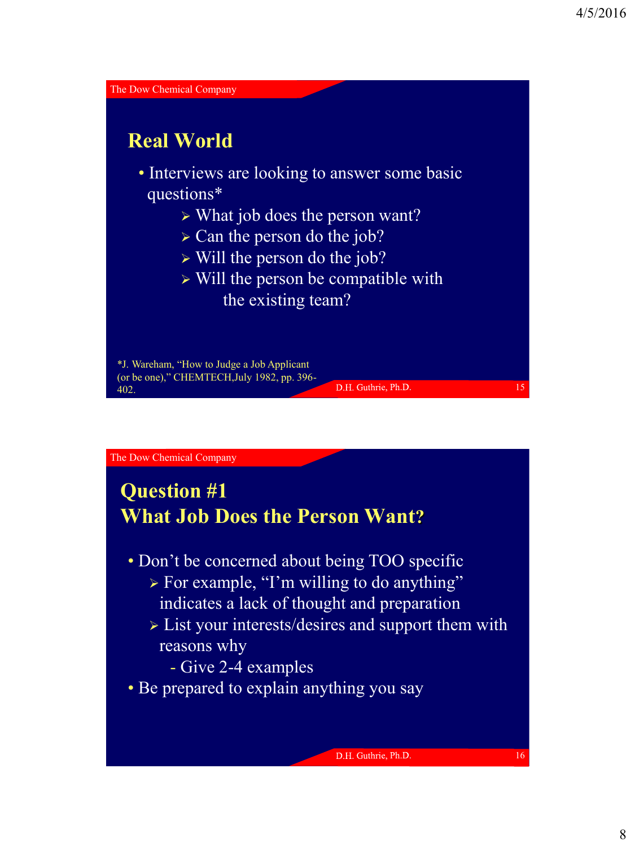

# **Question #1 What Job Does the Person Want?**

- Don't be concerned about being TOO specific
	- $\triangleright$  For example, "I'm willing to do anything" indicates a lack of thought and preparation
	- List your interests/desires and support them with reasons why
		- Give 2-4 examples
- Be prepared to explain anything you say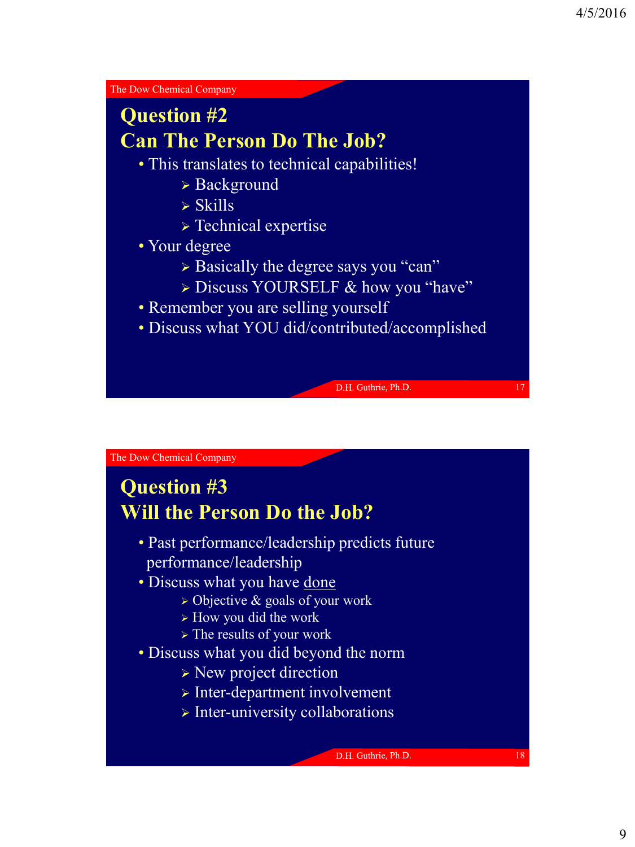## **Question #2 Can The Person Do The Job?**

- This translates to technical capabilities!
	- Background
	- $\triangleright$  Skills
	- **> Technical expertise**
- Your degree
	- $\triangleright$  Basically the degree says you "can"
	- > Discuss YOURSELF & how you "have"
- Remember you are selling yourself
- Discuss what YOU did/contributed/accomplished

D.H. Guthrie, Ph.D.

The Dow Chemical Company

## **Question #3 Will the Person Do the Job?**

- Past performance/leadership predicts future performance/leadership
- Discuss what you have done
	- $\triangleright$  Objective & goals of your work
	- $\triangleright$  How you did the work
	- $\triangleright$  The results of your work
- Discuss what you did beyond the norm
	- $\triangleright$  New project direction
	- $\triangleright$  Inter-department involvement
	- $\triangleright$  Inter-university collaborations

D.H. Guthrie, Ph.D.

18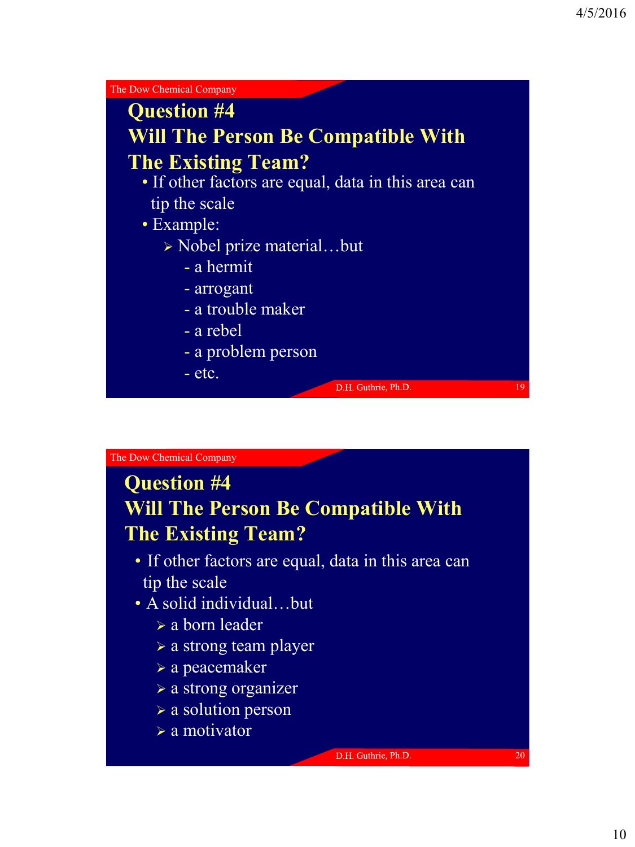

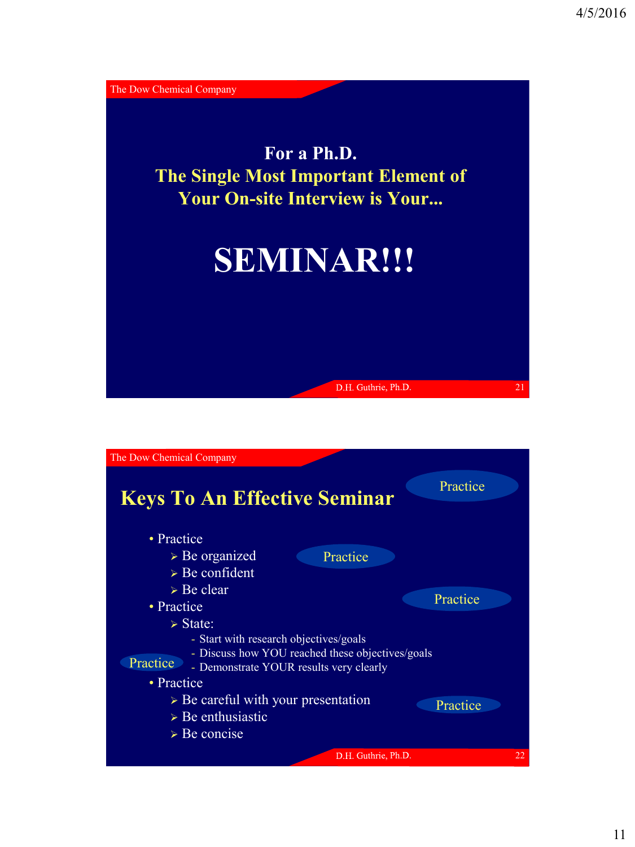

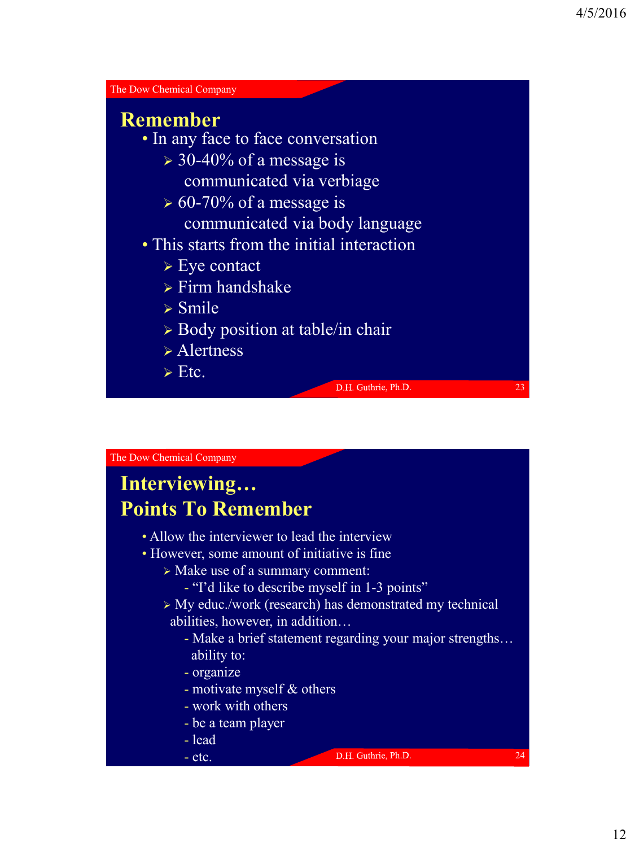

# **Interviewing… Points To Remember**

- Allow the interviewer to lead the interview
- However, some amount of initiative is fine
	- Make use of a summary comment:
		- "I'd like to describe myself in 1-3 points"
	- > My educ./work (research) has demonstrated my technical abilities, however, in addition…
		- Make a brief statement regarding your major strengths… ability to:
		- organize
		- motivate myself & others
		- work with others
		- be a team player
		- lead

#### - etc.

D.H. Guthrie, Ph.D.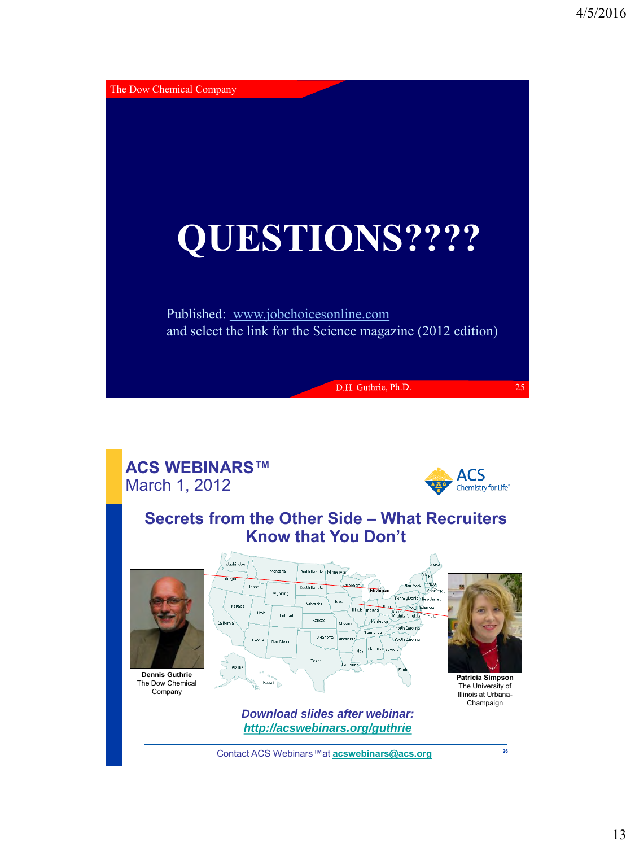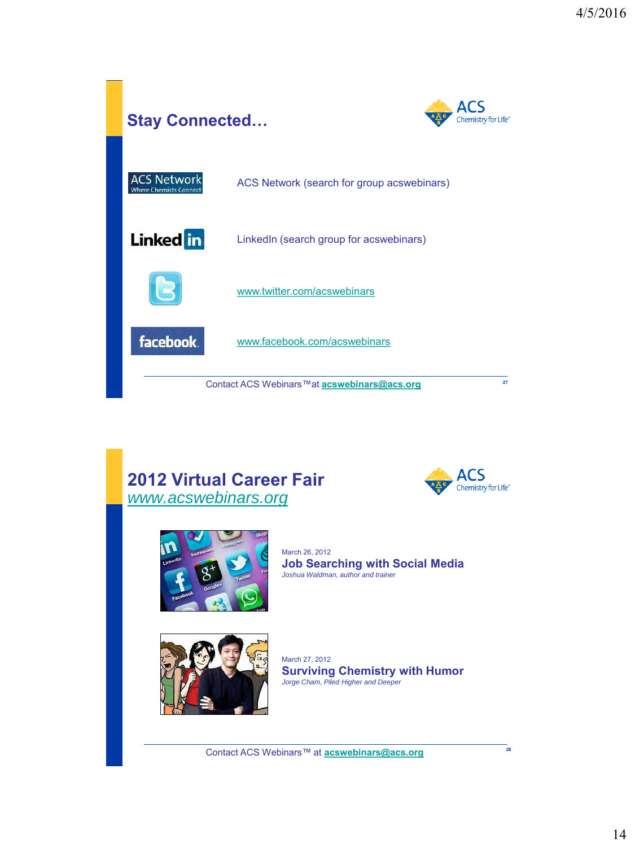

## **2012 Virtual Career Fair** *[www.acswebinars.org](http://www.acswebinars.org/)*





March 26, 2012 **Job Searching with Social Media** *Joshua Waldman, author and trainer*



March 27, 2012 **Surviving Chemistry with Humor** *Jorge Cham, Piled Higher and Deeper*

**<sup>28</sup>** Contact ACS Webinars™ at **[acswebinars@acs.org](mailto:acswebinars@acs.org)**